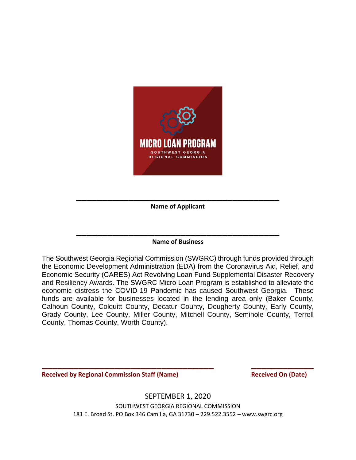

**\_\_\_\_\_\_\_\_\_\_\_\_\_\_\_\_\_\_\_\_\_\_\_\_\_\_\_\_\_\_\_\_\_\_\_\_\_\_\_ Name of Applicant** 

# **\_\_\_\_\_\_\_\_\_\_\_\_\_\_\_\_\_\_\_\_\_\_\_\_\_\_\_\_\_\_\_\_\_\_\_\_\_\_\_ Name of Business**

The Southwest Georgia Regional Commission (SWGRC) through funds provided through the Economic Development Administration (EDA) from the Coronavirus Aid, Relief, and Economic Security (CARES) Act Revolving Loan Fund Supplemental Disaster Recovery and Resiliency Awards. The SWGRC Micro Loan Program is established to alleviate the economic distress the COVID-19 Pandemic has caused Southwest Georgia. These funds are available for businesses located in the lending area only (Baker County, Calhoun County, Colquitt County, Decatur County, Dougherty County, Early County, Grady County, Lee County, Miller County, Mitchell County, Seminole County, Terrell County, Thomas County, Worth County).

**Received by Regional Commission Staff (Name)** Received On (Date)

SEPTEMBER 1, 2020

**\_\_\_\_\_\_\_\_\_\_\_\_\_\_\_\_\_\_\_\_\_\_\_\_\_\_\_\_\_\_\_\_\_ \_\_\_\_\_\_\_\_\_\_\_\_**

SOUTHWEST GEORGIA REGIONAL COMMISSION 181 E. Broad St. PO Box 346 Camilla, GA 31730 – 229.522.3552 – www.swgrc.org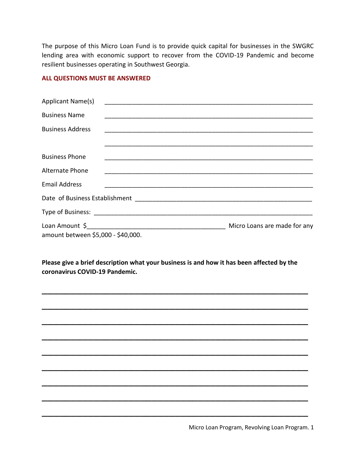The purpose of this Micro Loan Fund is to provide quick capital for businesses in the SWGRC lending area with economic support to recover from the COVID-19 Pandemic and become resilient businesses operating in Southwest Georgia.

#### **ALL QUESTIONS MUST BE ANSWERED**

| Applicant Name(s)                  |                |                              |
|------------------------------------|----------------|------------------------------|
| <b>Business Name</b>               |                |                              |
| <b>Business Address</b>            |                |                              |
|                                    |                |                              |
| <b>Business Phone</b>              |                |                              |
| Alternate Phone                    |                |                              |
| <b>Email Address</b>               |                |                              |
|                                    |                |                              |
|                                    |                |                              |
| amount between \$5,000 - \$40,000. | Loan Amount \$ | Micro Loans are made for any |

**Please give a brief description what your business is and how it has been affected by the coronavirus COVID-19 Pandemic.** 

\_\_\_\_\_\_\_\_\_\_\_\_\_\_\_\_\_\_\_\_\_\_\_\_\_\_\_\_\_\_\_\_\_\_\_\_\_\_\_\_\_\_\_\_\_\_

\_\_\_\_\_\_\_\_\_\_\_\_\_\_\_\_\_\_\_\_\_\_\_\_\_\_\_\_\_\_\_\_\_\_\_\_\_\_\_\_\_\_\_\_\_\_

\_\_\_\_\_\_\_\_\_\_\_\_\_\_\_\_\_\_\_\_\_\_\_\_\_\_\_\_\_\_\_\_\_\_\_\_\_\_\_\_\_\_\_\_\_\_

\_\_\_\_\_\_\_\_\_\_\_\_\_\_\_\_\_\_\_\_\_\_\_\_\_\_\_\_\_\_\_\_\_\_\_\_\_\_\_\_\_\_\_\_\_\_

\_\_\_\_\_\_\_\_\_\_\_\_\_\_\_\_\_\_\_\_\_\_\_\_\_\_\_\_\_\_\_\_\_\_\_\_\_\_\_\_\_\_\_\_\_\_

\_\_\_\_\_\_\_\_\_\_\_\_\_\_\_\_\_\_\_\_\_\_\_\_\_\_\_\_\_\_\_\_\_\_\_\_\_\_\_\_\_\_\_\_\_\_

\_\_\_\_\_\_\_\_\_\_\_\_\_\_\_\_\_\_\_\_\_\_\_\_\_\_\_\_\_\_\_\_\_\_\_\_\_\_\_\_\_\_\_\_\_\_

\_\_\_\_\_\_\_\_\_\_\_\_\_\_\_\_\_\_\_\_\_\_\_\_\_\_\_\_\_\_\_\_\_\_\_\_\_\_\_\_\_\_\_\_\_\_

\_\_\_\_\_\_\_\_\_\_\_\_\_\_\_\_\_\_\_\_\_\_\_\_\_\_\_\_\_\_\_\_\_\_\_\_\_\_\_\_\_\_\_\_\_\_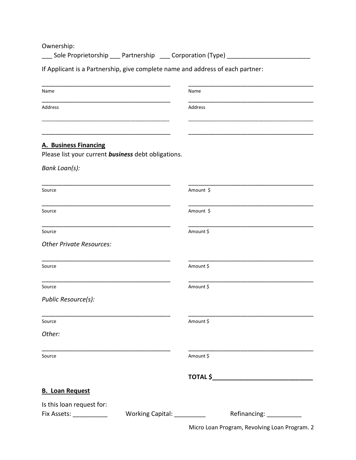Ownership:

\_\_\_ Sole Proprietorship \_\_\_ Partnership \_\_\_ Corporation (Type) \_\_\_\_\_\_\_\_\_\_\_\_\_\_\_\_\_\_\_\_\_\_\_\_

If Applicant is a Partnership, give complete name and address of each partner:

| Name                                                                                                                            | Name      |                          |  |
|---------------------------------------------------------------------------------------------------------------------------------|-----------|--------------------------|--|
| Address                                                                                                                         | Address   |                          |  |
|                                                                                                                                 |           |                          |  |
|                                                                                                                                 |           |                          |  |
| <b>A. Business Financing</b>                                                                                                    |           |                          |  |
| Please list your current business debt obligations.                                                                             |           |                          |  |
| Bank Loan(s):                                                                                                                   |           |                          |  |
| Source                                                                                                                          | Amount \$ |                          |  |
| Source                                                                                                                          | Amount \$ |                          |  |
| Source                                                                                                                          | Amount \$ |                          |  |
| <b>Other Private Resources:</b>                                                                                                 |           |                          |  |
| Source                                                                                                                          | Amount \$ |                          |  |
| Source                                                                                                                          | Amount \$ |                          |  |
| Public Resource(s):                                                                                                             |           |                          |  |
| Source                                                                                                                          | Amount \$ |                          |  |
| Other:                                                                                                                          |           |                          |  |
| <u> 1989 - Johann Stoff, deutscher Stoff, der Stoff, der Stoff, der Stoff, der Stoff, der Stoff, der Stoff, der S</u><br>Source | Amount \$ |                          |  |
|                                                                                                                                 |           |                          |  |
| <b>B. Loan Request</b>                                                                                                          |           |                          |  |
| Is this loan request for:                                                                                                       |           |                          |  |
| Working Capital: __________<br>Fix Assets: ___________                                                                          |           | Refinancing: ___________ |  |

Micro Loan Program, Revolving Loan Program. 2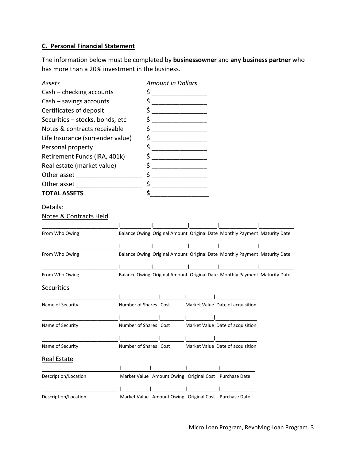### **C. Personal Financial Statement**

The information below must be completed by **businessowner** and **any business partner** who has more than a 20% investment in the business.

| Assets                                                                                |                       | <b>Amount in Dollars</b> |                                                                           |  |
|---------------------------------------------------------------------------------------|-----------------------|--------------------------|---------------------------------------------------------------------------|--|
| Cash – checking accounts                                                              |                       |                          |                                                                           |  |
| Cash - savings accounts<br>Certificates of deposit<br>Securities - stocks, bonds, etc |                       |                          |                                                                           |  |
|                                                                                       |                       |                          |                                                                           |  |
|                                                                                       |                       |                          |                                                                           |  |
| Notes & contracts receivable                                                          |                       |                          |                                                                           |  |
| Life Insurance (surrender value)                                                      |                       |                          |                                                                           |  |
| Personal property                                                                     |                       |                          |                                                                           |  |
| Retirement Funds (IRA, 401k)                                                          | \$                    |                          |                                                                           |  |
| Real estate (market value)                                                            |                       |                          |                                                                           |  |
|                                                                                       |                       |                          |                                                                           |  |
| Other asset                                                                           |                       |                          |                                                                           |  |
| <b>TOTAL ASSETS</b>                                                                   | \$.                   |                          |                                                                           |  |
| Details:                                                                              |                       |                          |                                                                           |  |
| Notes & Contracts Held                                                                |                       |                          |                                                                           |  |
|                                                                                       |                       |                          |                                                                           |  |
| From Who Owing                                                                        |                       |                          | Balance Owing Original Amount Original Date Monthly Payment Maturity Date |  |
|                                                                                       |                       |                          |                                                                           |  |
| From Who Owing                                                                        |                       |                          | Balance Owing Original Amount Original Date Monthly Payment Maturity Date |  |
|                                                                                       |                       |                          |                                                                           |  |
| From Who Owing                                                                        |                       |                          | Balance Owing Original Amount Original Date Monthly Payment Maturity Date |  |
| <b>Securities</b>                                                                     |                       |                          |                                                                           |  |
|                                                                                       |                       |                          |                                                                           |  |
| Name of Security                                                                      | Number of Shares Cost |                          | Market Value Date of acquisition                                          |  |
|                                                                                       |                       |                          |                                                                           |  |
| Name of Security                                                                      | Number of Shares Cost |                          | Market Value Date of acquisition                                          |  |
|                                                                                       |                       |                          |                                                                           |  |
| Name of Security                                                                      |                       |                          | Number of Shares Cost Market Value Date of acquisition                    |  |
| <b>Real Estate</b>                                                                    |                       |                          |                                                                           |  |
|                                                                                       |                       |                          |                                                                           |  |
| Description/Location                                                                  |                       |                          | Market Value Amount Owing Original Cost Purchase Date                     |  |
|                                                                                       |                       | $\mathbf{I}$             |                                                                           |  |
| Description/Location                                                                  |                       |                          | Market Value Amount Owing Original Cost Purchase Date                     |  |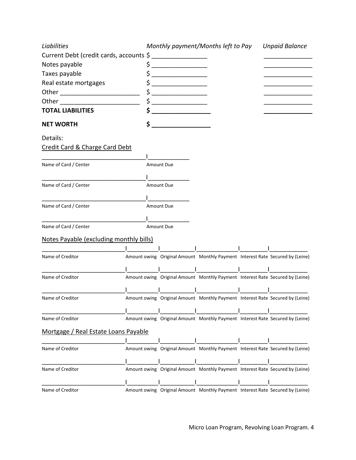| Liabilities                                 | Monthly payment/Months left to Pay |                                                                               |  | <b>Unpaid Balance</b> |  |
|---------------------------------------------|------------------------------------|-------------------------------------------------------------------------------|--|-----------------------|--|
| Current Debt (credit cards, accounts \$     |                                    |                                                                               |  |                       |  |
| Notes payable                               |                                    |                                                                               |  |                       |  |
| Taxes payable                               | _____________________              |                                                                               |  |                       |  |
| Real estate mortgages                       |                                    |                                                                               |  |                       |  |
|                                             |                                    |                                                                               |  |                       |  |
| Other                                       |                                    |                                                                               |  |                       |  |
| <b>TOTAL LIABILITIES</b>                    |                                    |                                                                               |  |                       |  |
| <b>NET WORTH</b>                            | \$                                 |                                                                               |  |                       |  |
| Details:                                    |                                    |                                                                               |  |                       |  |
| <b>Credit Card &amp; Charge Card Debt</b>   |                                    |                                                                               |  |                       |  |
|                                             |                                    |                                                                               |  |                       |  |
| Name of Card / Center                       | <b>Amount Due</b>                  |                                                                               |  |                       |  |
|                                             |                                    |                                                                               |  |                       |  |
| Name of Card / Center                       | <b>Amount Due</b>                  |                                                                               |  |                       |  |
|                                             |                                    |                                                                               |  |                       |  |
| Name of Card / Center                       | Amount Due                         |                                                                               |  |                       |  |
|                                             |                                    |                                                                               |  |                       |  |
| Name of Card / Center                       | Amount Due                         |                                                                               |  |                       |  |
| Notes Payable (excluding monthly bills)     |                                    |                                                                               |  |                       |  |
|                                             |                                    |                                                                               |  |                       |  |
| Name of Creditor                            |                                    | Amount owing Original Amount Monthly Payment Interest Rate Secured by (Leine) |  |                       |  |
|                                             |                                    |                                                                               |  |                       |  |
| Name of Creditor                            |                                    | Amount owing Original Amount Monthly Payment Interest Rate Secured by (Leine) |  |                       |  |
|                                             |                                    |                                                                               |  |                       |  |
| Name of Creditor                            |                                    | Amount owing Original Amount Monthly Payment Interest Rate Secured by (Leine) |  |                       |  |
|                                             |                                    |                                                                               |  |                       |  |
| Name of Creditor                            |                                    | Amount owing Original Amount Monthly Payment Interest Rate Secured by (Leine) |  |                       |  |
| <u>Mortgage / Real Estate Loans Payable</u> |                                    |                                                                               |  |                       |  |
|                                             |                                    |                                                                               |  |                       |  |
| Name of Creditor                            |                                    | Amount owing Original Amount Monthly Payment Interest Rate Secured by (Leine) |  |                       |  |
|                                             |                                    |                                                                               |  |                       |  |
| Name of Creditor                            |                                    | Amount owing Original Amount Monthly Payment Interest Rate Secured by (Leine) |  |                       |  |
|                                             |                                    |                                                                               |  |                       |  |
| Name of Creditor                            |                                    | Amount owing Original Amount Monthly Payment Interest Rate Secured by (Leine) |  |                       |  |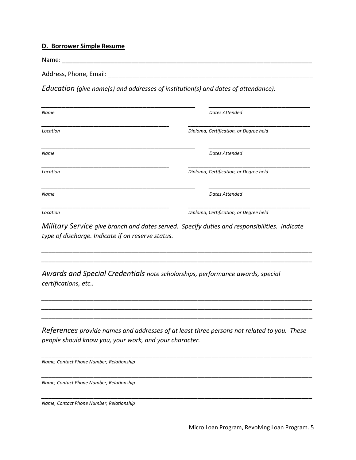#### **D. Borrower Simple Resume**

Name: \_\_\_\_\_\_\_\_\_\_\_\_\_\_\_\_\_\_\_\_\_\_\_\_\_\_\_\_\_\_\_\_\_\_\_\_\_\_\_\_\_\_\_\_\_\_\_\_\_\_\_\_\_\_\_\_\_\_\_\_\_\_\_\_\_\_\_\_\_\_\_\_ Address, Phone, Email: \_\_\_\_\_\_\_\_\_\_\_\_\_\_\_\_\_\_\_\_\_\_\_\_\_\_\_\_\_\_\_\_\_\_\_\_\_\_\_\_\_\_\_\_\_\_\_\_\_\_\_\_\_\_\_\_\_\_\_

*Education (give name(s) and addresses of institution(s) and dates of attendance):* 

| Name     | <b>Dates Attended</b>                  |
|----------|----------------------------------------|
| Location | Diploma, Certification, or Degree held |
| Name     | Dates Attended                         |
| Location | Diploma, Certification, or Degree held |
| Name     | <b>Dates Attended</b>                  |
| Location | Diploma, Certification, or Degree held |

*Military Service give branch and dates served. Specify duties and responsibilities. Indicate type of discharge. Indicate if on reserve status.*

*\_\_\_\_\_\_\_\_\_\_\_\_\_\_\_\_\_\_\_\_\_\_\_\_\_\_\_\_\_\_\_\_\_\_\_\_\_\_\_\_\_\_\_\_\_\_\_\_\_\_\_\_\_\_\_\_\_\_\_\_\_\_\_\_\_\_\_\_\_\_\_\_\_\_\_\_\_\_ \_\_\_\_\_\_\_\_\_\_\_\_\_\_\_\_\_\_\_\_\_\_\_\_\_\_\_\_\_\_\_\_\_\_\_\_\_\_\_\_\_\_\_\_\_\_\_\_\_\_\_\_\_\_\_\_\_\_\_\_\_\_\_\_\_\_\_\_\_\_\_\_\_\_\_\_\_\_*

*\_\_\_\_\_\_\_\_\_\_\_\_\_\_\_\_\_\_\_\_\_\_\_\_\_\_\_\_\_\_\_\_\_\_\_\_\_\_\_\_\_\_\_\_\_\_\_\_\_\_\_\_\_\_\_\_\_\_\_\_\_\_\_\_\_\_\_\_\_\_\_\_\_\_\_\_\_\_ \_\_\_\_\_\_\_\_\_\_\_\_\_\_\_\_\_\_\_\_\_\_\_\_\_\_\_\_\_\_\_\_\_\_\_\_\_\_\_\_\_\_\_\_\_\_\_\_\_\_\_\_\_\_\_\_\_\_\_\_\_\_\_\_\_\_\_\_\_\_\_\_\_\_\_\_\_\_ \_\_\_\_\_\_\_\_\_\_\_\_\_\_\_\_\_\_\_\_\_\_\_\_\_\_\_\_\_\_\_\_\_\_\_\_\_\_\_\_\_\_\_\_\_\_\_\_\_\_\_\_\_\_\_\_\_\_\_\_\_\_\_\_\_\_\_\_\_\_\_\_\_\_\_\_\_\_*

*Awards and Special Credentials note scholarships, performance awards, special certifications, etc..*

*References provide names and addresses of at least three persons not related to you. These people should know you, your work, and your character.* 

*\_\_\_\_\_\_\_\_\_\_\_\_\_\_\_\_\_\_\_\_\_\_\_\_\_\_\_\_\_\_\_\_\_\_\_\_\_\_\_\_\_\_\_\_\_\_\_\_\_\_\_\_\_\_\_\_\_\_\_\_\_\_\_\_\_\_\_\_\_\_\_\_\_\_\_\_\_\_*

*\_\_\_\_\_\_\_\_\_\_\_\_\_\_\_\_\_\_\_\_\_\_\_\_\_\_\_\_\_\_\_\_\_\_\_\_\_\_\_\_\_\_\_\_\_\_\_\_\_\_\_\_\_\_\_\_\_\_\_\_\_\_\_\_\_\_\_\_\_\_\_\_\_\_\_\_\_\_*

*\_\_\_\_\_\_\_\_\_\_\_\_\_\_\_\_\_\_\_\_\_\_\_\_\_\_\_\_\_\_\_\_\_\_\_\_\_\_\_\_\_\_\_\_\_\_\_\_\_\_\_\_\_\_\_\_\_\_\_\_\_\_\_\_\_\_\_\_\_\_\_\_\_\_\_\_\_\_*

*Name, Contact Phone Number, Relationship* 

*Name, Contact Phone Number, Relationship* 

*Name, Contact Phone Number, Relationship*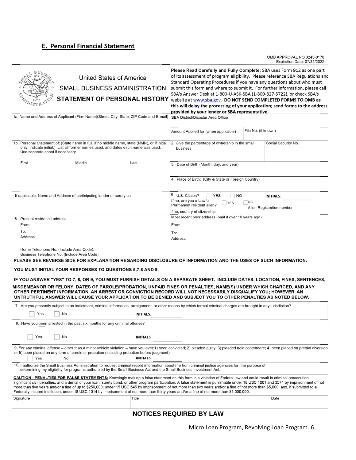## **E. Personal Financial Statement**

OMB APPROVAL NO.3245-0178<br>Expiration Date: 07/31/2022

| United States of America<br>SMALL BUSINESS ADMINISTRATION<br><b>STATEMENT OF PERSONAL HISTORY</b><br>1a. Name and Address of Applicant (Firm Name)(Street, City, State, ZIP Code and E-mail)                                                                                                                                                                                                                                                                                                                                                                                                                                                                                                   |                  | Please Read Carefully and Fully Complete: SBA uses Form 912 as one part<br>of its assessment of program eligibility. Please reference SBA Regulations and<br>Standard Operating Procedures if you have any questions about who must<br>submit this form and where to submit it. For further information, please call<br>SBA's Answer Desk at 1-800-U-ASK-SBA (1-800-827-5722), or check SBA's<br>website at www.sba.gov. DO NOT SEND COMPLETED FORMS TO OMB as<br>this will delay the processing of your application; send forms to the address<br>provided by your lender or SBA representative.<br>SBA District/Disaster Area Office<br>File No. (if known)<br>Amount Applied for (when applicable) |           |                                               |  |
|------------------------------------------------------------------------------------------------------------------------------------------------------------------------------------------------------------------------------------------------------------------------------------------------------------------------------------------------------------------------------------------------------------------------------------------------------------------------------------------------------------------------------------------------------------------------------------------------------------------------------------------------------------------------------------------------|------------------|-------------------------------------------------------------------------------------------------------------------------------------------------------------------------------------------------------------------------------------------------------------------------------------------------------------------------------------------------------------------------------------------------------------------------------------------------------------------------------------------------------------------------------------------------------------------------------------------------------------------------------------------------------------------------------------------------------|-----------|-----------------------------------------------|--|
| 1b. Personal Statement of: (State name in full, if no middle name, state (NMN), or if initial<br>only, indicate initial.) List all former names used, and dates each name was used.<br>Use separate sheet if necessary.                                                                                                                                                                                                                                                                                                                                                                                                                                                                        |                  | 2. Give the percentage of ownership in the small<br>business                                                                                                                                                                                                                                                                                                                                                                                                                                                                                                                                                                                                                                          |           | Social Security No.                           |  |
| First<br>Middle                                                                                                                                                                                                                                                                                                                                                                                                                                                                                                                                                                                                                                                                                | Last             | 3. Date of Birth (Month, day, and year)                                                                                                                                                                                                                                                                                                                                                                                                                                                                                                                                                                                                                                                               |           |                                               |  |
|                                                                                                                                                                                                                                                                                                                                                                                                                                                                                                                                                                                                                                                                                                |                  | 4. Place of Birth: (City & State or Foreign Country)                                                                                                                                                                                                                                                                                                                                                                                                                                                                                                                                                                                                                                                  |           |                                               |  |
| If applicable, Name and Address of participating lender or surety co.                                                                                                                                                                                                                                                                                                                                                                                                                                                                                                                                                                                                                          |                  | 5. U.S. Citizen?<br>$\sqsupset$ YES<br>$\overline{\phantom{a}}$ NO<br>If no, are you a Lawful<br><b>YES</b><br>Permanent resident alien?<br>If no, country of citzenship:                                                                                                                                                                                                                                                                                                                                                                                                                                                                                                                             | <b>NO</b> | <b>INITIALS:</b><br>Alien Registration number |  |
| 6. Present residence address:                                                                                                                                                                                                                                                                                                                                                                                                                                                                                                                                                                                                                                                                  |                  | Most recent prior address (omit if over 10 years ago):                                                                                                                                                                                                                                                                                                                                                                                                                                                                                                                                                                                                                                                |           |                                               |  |
| From:                                                                                                                                                                                                                                                                                                                                                                                                                                                                                                                                                                                                                                                                                          |                  | From:                                                                                                                                                                                                                                                                                                                                                                                                                                                                                                                                                                                                                                                                                                 |           |                                               |  |
| To:<br>Address:                                                                                                                                                                                                                                                                                                                                                                                                                                                                                                                                                                                                                                                                                |                  | To:<br>Address:                                                                                                                                                                                                                                                                                                                                                                                                                                                                                                                                                                                                                                                                                       |           |                                               |  |
| Home Telephone No. (Include Area Code):<br>Business Telephone No. (Include Area Code):                                                                                                                                                                                                                                                                                                                                                                                                                                                                                                                                                                                                         |                  |                                                                                                                                                                                                                                                                                                                                                                                                                                                                                                                                                                                                                                                                                                       |           |                                               |  |
| PLEASE SEE REVERSE SIDE FOR EXPLANATION REGARDING DISCLOSURE OF INFORMATION AND THE USES OF SUCH INFORMATION.                                                                                                                                                                                                                                                                                                                                                                                                                                                                                                                                                                                  |                  |                                                                                                                                                                                                                                                                                                                                                                                                                                                                                                                                                                                                                                                                                                       |           |                                               |  |
| YOU MUST INITIAL YOUR RESPONSES TO QUESTIONS 5,7,8 AND 9.                                                                                                                                                                                                                                                                                                                                                                                                                                                                                                                                                                                                                                      |                  |                                                                                                                                                                                                                                                                                                                                                                                                                                                                                                                                                                                                                                                                                                       |           |                                               |  |
| IF YOU ANSWER "YES" TO 7, 8, OR 9, YOU MUST FURNISH DETAILS ON A SEPARATE SHEET. INCLUDE DATES, LOCATION, FINES, SENTENCES,                                                                                                                                                                                                                                                                                                                                                                                                                                                                                                                                                                    |                  |                                                                                                                                                                                                                                                                                                                                                                                                                                                                                                                                                                                                                                                                                                       |           |                                               |  |
| MISDEMEANOR OR FELONY, DATES OF PAROLE/PROBATION, UNPAID FINES OR PENALTIES, NAME(S) UNDER WHICH CHARGED, AND ANY<br>OTHER PERTINENT INFORMATION. AN ARREST OR CONVICTION RECORD WILL NOT NECESSARILY DISQUALIFY YOU; HOWEVER, AN<br>UNTRUTHFUL ANSWER WILL CAUSE YOUR APPLICATION TO BE DENIED AND SUBJECT YOU TO OTHER PENALTIES AS NOTED BELOW.                                                                                                                                                                                                                                                                                                                                             |                  |                                                                                                                                                                                                                                                                                                                                                                                                                                                                                                                                                                                                                                                                                                       |           |                                               |  |
| 7. Are you presently subject to an indictment, criminal information, arraignment, or other means by which formal criminal charges are brought in any jurisdiction?                                                                                                                                                                                                                                                                                                                                                                                                                                                                                                                             |                  |                                                                                                                                                                                                                                                                                                                                                                                                                                                                                                                                                                                                                                                                                                       |           |                                               |  |
| No<br>Yes                                                                                                                                                                                                                                                                                                                                                                                                                                                                                                                                                                                                                                                                                      | <b>INITIALS:</b> |                                                                                                                                                                                                                                                                                                                                                                                                                                                                                                                                                                                                                                                                                                       |           |                                               |  |
| 8. Have you been arrested in the past six months for any criminal offense?                                                                                                                                                                                                                                                                                                                                                                                                                                                                                                                                                                                                                     |                  |                                                                                                                                                                                                                                                                                                                                                                                                                                                                                                                                                                                                                                                                                                       |           |                                               |  |
| Yes<br>No                                                                                                                                                                                                                                                                                                                                                                                                                                                                                                                                                                                                                                                                                      | <b>INITIALS:</b> |                                                                                                                                                                                                                                                                                                                                                                                                                                                                                                                                                                                                                                                                                                       |           |                                               |  |
| 9. For any criminal offense – other than a minor vehicle violation – have you ever:1) been convicted; 2) pleaded guilty; 3) pleaded nolo contendere; 4) been placed on pretrial diversion<br>or 5) been placed on any form of parole or probation (including probation before judgment).<br><b>INITIALS:</b><br>Yes<br>No                                                                                                                                                                                                                                                                                                                                                                      |                  |                                                                                                                                                                                                                                                                                                                                                                                                                                                                                                                                                                                                                                                                                                       |           |                                               |  |
| 10. I authorize the Small Business Administration to request criminal record information about me from criminal justice agencies for the purpose of<br>determining my eligibility for programs authorized by the Small Business Act and the Small Business Investment Act.                                                                                                                                                                                                                                                                                                                                                                                                                     |                  |                                                                                                                                                                                                                                                                                                                                                                                                                                                                                                                                                                                                                                                                                                       |           |                                               |  |
| CAUTION - PENALTIES FOR FALSE STATEMENTS: Knowingly making a false statement on this form is a violation of Federal law and could result in criminal prosecution,<br>significant civil penalties, and a denial of your loan, surety bond, or other program participation. A false statement is punishable under 18 USC 1001 and 3571 by imprisonment of not<br>more than five years and/or a fine of up to \$250,000; under 15 USC 645 by imprisonment of not more than two years and/or a fine of not more than \$5,000; and, if submitted to a<br>Federally insured institution, under 18 USC 1014 by imprisonment of not more than thirty years and/or a fine of not more than \$1,000,000. |                  |                                                                                                                                                                                                                                                                                                                                                                                                                                                                                                                                                                                                                                                                                                       |           |                                               |  |
| Signature                                                                                                                                                                                                                                                                                                                                                                                                                                                                                                                                                                                                                                                                                      | Title            |                                                                                                                                                                                                                                                                                                                                                                                                                                                                                                                                                                                                                                                                                                       |           | Date                                          |  |
|                                                                                                                                                                                                                                                                                                                                                                                                                                                                                                                                                                                                                                                                                                |                  |                                                                                                                                                                                                                                                                                                                                                                                                                                                                                                                                                                                                                                                                                                       |           |                                               |  |

## **NOTICES REQUIRED BY LAW**

Micro Loan Program, Revolving Loan Program. 6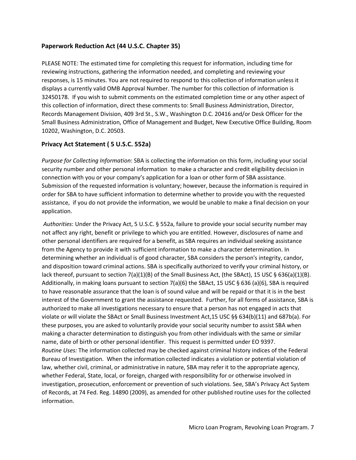### **Paperwork Reduction Act (44 U.S.C. Chapter 35)**

PLEASE NOTE: The estimated time for completing this request for information, including time for reviewing instructions, gathering the information needed, and completing and reviewing your responses, is 15 minutes. You are not required to respond to this collection of information unless it displays a currently valid OMB Approval Number. The number for this collection of information is 32450178. If you wish to submit comments on the estimated completion time or any other aspect of this collection of information, direct these comments to: Small Business Administration, Director, Records Management Division, 409 3rd St., S.W., Washington D.C. 20416 and/or Desk Officer for the Small Business Administration, Office of Management and Budget, New Executive Office Building, Room 10202, Washington, D.C. 20503.

### **Privacy Act Statement ( 5 U.S.C. 552a)**

*Purpose for Collecting Information*: SBA is collecting the information on this form, including your social security number and other personal information to make a character and credit eligibility decision in connection with you or your company's application for a loan or other form of SBA assistance. Submission of the requested information is voluntary; however, because the information is required in order for SBA to have sufficient information to determine whether to provide you with the requested assistance, if you do not provide the information, we would be unable to make a final decision on your application.

*Authorities*: Under the Privacy Act, 5 U.S.C. § 552a, failure to provide your social security number may not affect any right, benefit or privilege to which you are entitled. However, disclosures of name and other personal identifiers are required for a benefit, as SBA requires an individual seeking assistance from the Agency to provide it with sufficient information to make a character determination. In determining whether an individual is of good character, SBA considers the person's integrity, candor, and disposition toward criminal actions. SBA is specifically authorized to verify your criminal history, or lack thereof, pursuant to section 7(a)(1)(B) of the Small Business Act, (the SBAct), 15 USC § 636(a)(1)(B). Additionally, in making loans pursuant to section 7(a)(6) the SBAct, 15 USC § 636 (a)(6), SBA is required to have reasonable assurance that the loan is of sound value and will be repaid or that it is in the best interest of the Government to grant the assistance requested. Further, for all forms of assistance, SBA is authorized to make all investigations necessary to ensure that a person has not engaged in acts that violate or will violate the SBAct or Small Business Investment Act,15 USC §§ 634(b)(11) and 687b(a). For these purposes, you are asked to voluntarily provide your social security number to assist SBA when making a character determination to distinguish you from other individuals with the same or similar name, date of birth or other personal identifier. This request is permitted under EO 9397. *Routine Uses:* The information collected may be checked against criminal history indices of the Federal Bureau of Investigation. When the information collected indicates a violation or potential violation of law, whether civil, criminal, or administrative in nature, SBA may refer it to the appropriate agency, whether Federal, State, local, or foreign, charged with responsibility for or otherwise involved in investigation, prosecution, enforcement or prevention of such violations. See, SBA's Privacy Act System of Records, at 74 Fed. Reg. 14890 (2009), as amended for other published routine uses for the collected information.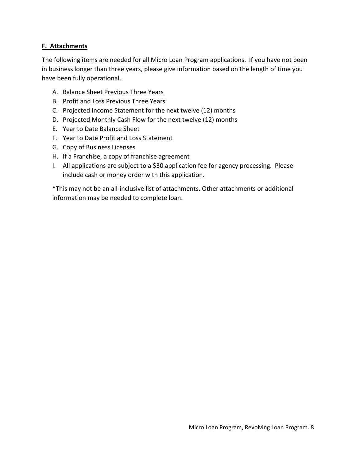### **F. Attachments**

The following items are needed for all Micro Loan Program applications. If you have not been in business longer than three years, please give information based on the length of time you have been fully operational.

- A. Balance Sheet Previous Three Years
- B. Profit and Loss Previous Three Years
- C. Projected Income Statement for the next twelve (12) months
- D. Projected Monthly Cash Flow for the next twelve (12) months
- E. Year to Date Balance Sheet
- F. Year to Date Profit and Loss Statement
- G. Copy of Business Licenses
- H. If a Franchise, a copy of franchise agreement
- I. All applications are subject to a \$30 application fee for agency processing. Please include cash or money order with this application.

\*This may not be an all-inclusive list of attachments. Other attachments or additional information may be needed to complete loan.